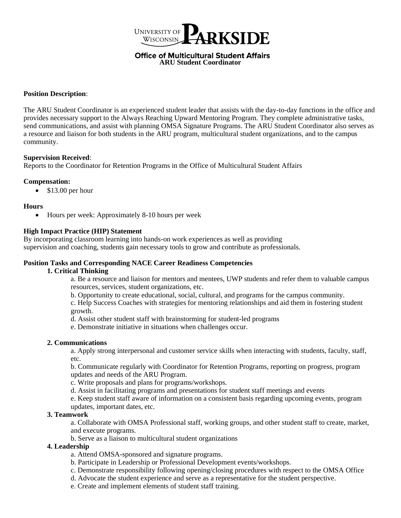

**Office of Multicultural Student Affairs ARU Student Coordinator** 

# **Position Description**:

The ARU Student Coordinator is an experienced student leader that assists with the day-to-day functions in the office and provides necessary support to the Always Reaching Upward Mentoring Program. They complete administrative tasks, send communications, and assist with planning OMSA Signature Programs. The ARU Student Coordinator also serves as a resource and liaison for both students in the ARU program, multicultural student organizations, and to the campus community.

### **Supervision Received**:

Reports to the Coordinator for Retention Programs in the Office of Multicultural Student Affairs

### **Compensation:**

• \$13.00 per hour

### **Hours**

• Hours per week: Approximately 8-10 hours per week

### **High Impact Practice (HIP) Statement**

By incorporating classroom learning into hands-on work experiences as well as providing supervision and coaching, students gain necessary tools to grow and contribute as professionals.

## **Position Tasks and Corresponding NACE Career Readiness Competencies**

### **1. Critical Thinking**

a. Be a resource and liaison for mentors and mentees, UWP students and refer them to valuable campus resources, services, student organizations, etc.

b. Opportunity to create educational, social, cultural, and programs for the campus community.

c. Help Success Coaches with strategies for mentoring relationships and aid them in fostering student growth.

- d. Assist other student staff with brainstorming for student-led programs
- e. Demonstrate initiative in situations when challenges occur.

# **2. Communications**

a. Apply strong interpersonal and customer service skills when interacting with students, faculty, staff, etc.

b. Communicate regularly with Coordinator for Retention Programs, reporting on progress, program updates and needs of the ARU Program.

- c. Write proposals and plans for programs/workshops.
- d. Assist in facilitating programs and presentations for student staff meetings and events

e. Keep student staff aware of information on a consistent basis regarding upcoming events, program updates, important dates, etc.

# **3. Teamwork**

a. Collaborate with OMSA Professional staff, working groups, and other student staff to create, market, and execute programs.

b. Serve as a liaison to multicultural student organizations

# **4. Leadership**

- a. Attend OMSA-sponsored and signature programs.
- b. Participate in Leadership or Professional Development events/workshops.
- c. Demonstrate responsibility following opening/closing procedures with respect to the OMSA Office
- d. Advocate the student experience and serve as a representative for the student perspective.
- e. Create and implement elements of student staff training.